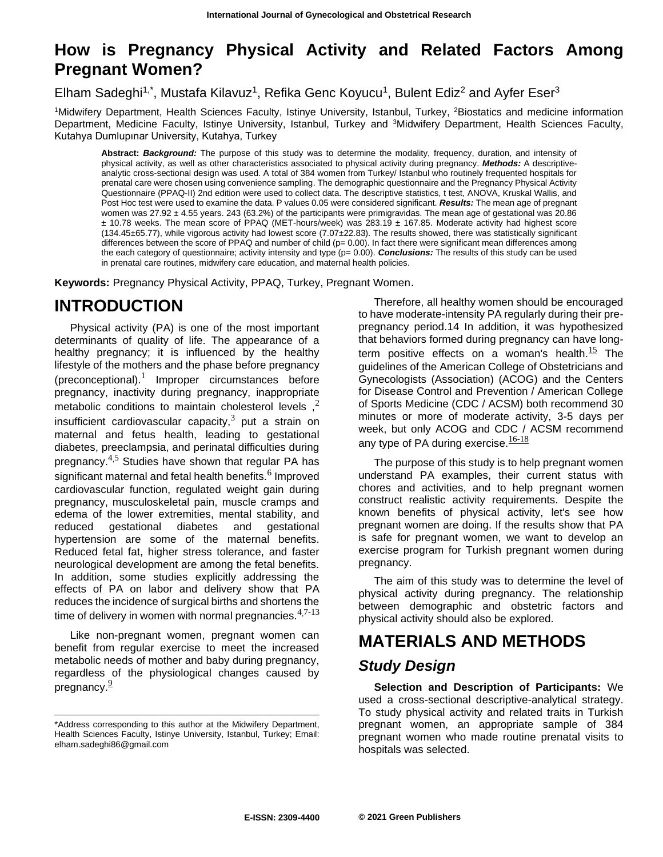## **How is Pregnancy Physical Activity and Related Factors Among Pregnant Women?**

Elham Sadeghi<sup>1,\*</sup>, Mustafa Kilavuz<sup>1</sup>, Refika Genc Koyucu<sup>1</sup>, Bulent Ediz<sup>2</sup> and Ayfer Eser<sup>3</sup>

<sup>1</sup>Midwifery Department, Health Sciences Faculty, Istinye University, Istanbul, Turkey, <sup>2</sup>Biostatics and medicine information Department, Medicine Faculty, Istinye University, Istanbul, Turkey and <sup>3</sup>Midwifery Department, Health Sciences Faculty, Kutahya Dumlupınar University, Kutahya, Turkey

**Abstract:** *Background:* The purpose of this study was to determine the modality, frequency, duration, and intensity of physical activity, as well as other characteristics associated to physical activity during pregnancy. *Methods:* A descriptiveanalytic cross-sectional design was used. A total of 384 women from Turkey/ Istanbul who routinely frequented hospitals for prenatal care were chosen using convenience sampling. The demographic questionnaire and the Pregnancy Physical Activity Questionnaire (PPAQ-II) 2nd edition were used to collect data. The descriptive statistics, t test, ANOVA, Kruskal Wallis, and Post Hoc test were used to examine the data. P values 0.05 were considered significant. *Results:* The mean age of pregnant women was 27.92 ± 4.55 years. 243 (63.2%) of the participants were primigravidas. The mean age of gestational was 20.86 ± 10.78 weeks. The mean score of PPAQ (MET-hours/week) was 283.19 ± 167.85. Moderate activity had highest score (134.45±65.77), while vigorous activity had lowest score (7.07±22.83). The results showed, there was statistically significant differences between the score of PPAQ and number of child (p= 0.00). In fact there were significant mean differences among the each category of questionnaire; activity intensity and type (p= 0.00). **Conclusions:** The results of this study can be used in prenatal care routines, midwifery care education, and maternal health policies.

**Keywords:** Pregnancy Physical Activity, PPAQ, Turkey, Pregnant Women.

## **INTRODUCTION**

Physical activity (PA) is one of the most important determinants of quality of life. The appearance of a healthy pregnancy; it is influenced by the healthy lifestyle of the mothers and the phase before pregnancy  $(preconceptional).<sup>1</sup>$  $(preconceptional).<sup>1</sup>$  $(preconceptional).<sup>1</sup>$  $(preconceptional).<sup>1</sup>$  $(preconceptional).<sup>1</sup>$  Improper circumstances before pregnancy, inactivity during pregnancy, inappropriate metabolic conditions to maintain cholesterol levels[,](file:///E:/Article%20Composing/Article%2011/Manuscript.doc%23_ENREF_2)<sup>[2](file:///E:/Article%20Composing/Article%2011/Manuscript.doc%23_ENREF_2)</sup> insufficient cardiovascular capacity[,](file:///E:/Article%20Composing/Article%2011/Manuscript.doc%23_ENREF_3) $3$  put a strain on maternal and fetus health, leading to gestational diabetes, preeclampsia, and perinatal difficulties during pregnancy. $4,5$  $4,5$  $4,5$  Studies have shown that regular PA has significant maternal and fetal health benefits. $^6$  $^6$  Improved cardiovascular function, regulated weight gain during pregnancy, musculoskeletal pain, muscle cramps and edema of the lower extremities, mental stability, and reduced gestational diabetes and gestational hypertension are some of the maternal benefits. Reduced fetal fat, higher stress tolerance, and faster neurological development are among the fetal benefits. In addition, some studies explicitly addressing the effects of PA on labor and delivery show that PA reduces the incidence of surgical births and shortens the time of delivery in women with normal pregnancies. $4,7-13$  $4,7-13$  $4,7-13$ 

Like non-pregnant women, pregnant women can benefit from regular exercise to meet the increased metabolic needs of mother and baby during pregnancy, regardless of the physiological changes caused by pregnancy[.](file:///E:/Article%20Composing/Article%2011/Manuscript.doc%23_ENREF_9)<sup>[9](file:///E:/Article%20Composing/Article%2011/Manuscript.doc%23_ENREF_9)</sup>

Therefore, all healthy women should be encouraged to have moderate-intensity PA regularly during their prepregnancy period.14 In addition, it was hypothesized that behaviors formed during pregnancy can have long-term positive effects on a woman's health[.](file:///E:/Article%20Composing/Article%2011/Manuscript.doc%23_ENREF_15) $\frac{15}{12}$  $\frac{15}{12}$  $\frac{15}{12}$  The guidelines of the American College of Obstetricians and Gynecologists (Association) (ACOG) and the Centers for Disease Control and Prevention / American College of Sports Medicine (CDC / ACSM) both recommend 30 minutes or more of moderate activity, 3-5 days per week, but only ACOG and CDC / ACSM recommend any type of PA during exercise. $\frac{16-18}{16}$  $\frac{16-18}{16}$  $\frac{16-18}{16}$ 

The purpose of this study is to help pregnant women understand PA examples, their current status with chores and activities, and to help pregnant women construct realistic activity requirements. Despite the known benefits of physical activity, let's see how pregnant women are doing. If the results show that PA is safe for pregnant women, we want to develop an exercise program for Turkish pregnant women during pregnancy.

The aim of this study was to determine the level of physical activity during pregnancy. The relationship between demographic and obstetric factors and physical activity should also be explored.

# **MATERIALS AND METHODS**

#### *Study Design*

**Selection and Description of Participants:** We used a cross-sectional descriptive-analytical strategy. To study physical activity and related traits in Turkish pregnant women, an appropriate sample of 384 pregnant women who made routine prenatal visits to hospitals was selected.

<sup>\*</sup>Address corresponding to this author at the Midwifery Department, Health Sciences Faculty, Istinye University, Istanbul, Turkey; Email: elham.sadeghi86@gmail.com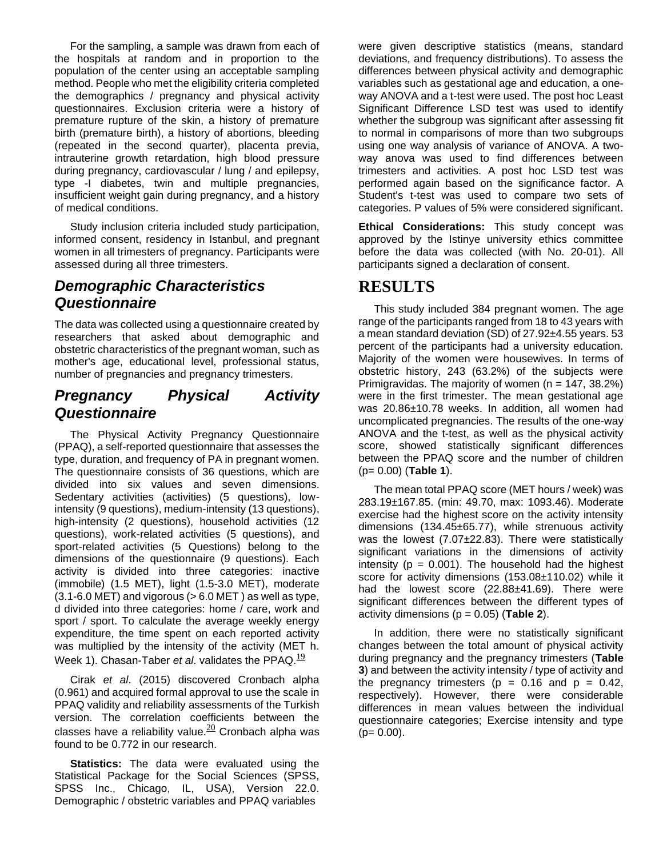For the sampling, a sample was drawn from each of the hospitals at random and in proportion to the population of the center using an acceptable sampling method. People who met the eligibility criteria completed the demographics / pregnancy and physical activity questionnaires. Exclusion criteria were a history of premature rupture of the skin, a history of premature birth (premature birth), a history of abortions, bleeding (repeated in the second quarter), placenta previa, intrauterine growth retardation, high blood pressure during pregnancy, cardiovascular / lung / and epilepsy, type -I diabetes, twin and multiple pregnancies, insufficient weight gain during pregnancy, and a history of medical conditions.

Study inclusion criteria included study participation, informed consent, residency in Istanbul, and pregnant women in all trimesters of pregnancy. Participants were assessed during all three trimesters.

#### *Demographic Characteristics Questionnaire*

The data was collected using a questionnaire created by researchers that asked about demographic and obstetric characteristics of the pregnant woman, such as mother's age, educational level, professional status, number of pregnancies and pregnancy trimesters.

#### *Pregnancy Physical Activity Questionnaire*

The Physical Activity Pregnancy Questionnaire (PPAQ), a self-reported questionnaire that assesses the type, duration, and frequency of PA in pregnant women. The questionnaire consists of 36 questions, which are divided into six values and seven dimensions. Sedentary activities (activities) (5 questions), lowintensity (9 questions), medium-intensity (13 questions), high-intensity (2 questions), household activities (12 questions), work-related activities (5 questions), and sport-related activities (5 Questions) belong to the dimensions of the questionnaire (9 questions). Each activity is divided into three categories: inactive (immobile) (1.5 MET), light (1.5-3.0 MET), moderate  $(3.1-6.0 \text{ MET})$  and vigorous  $(> 6.0 \text{ MET})$  as well as type, d divided into three categories: home / care, work and sport / sport. To calculate the average weekly energy expenditure, the time spent on each reported activity was multiplied by the intensity of the activity (MET h. Week 1). Chasan-Taber *et al.* validates the PPAQ.<sup>[19](file:///E:/Article%20Composing/Article%2011/Manuscript.doc%23_ENREF_19)</sup>

Cirak *et al*. (2015) discovered Cronbach alpha (0.961) and acquired formal approval to use the scale in PPAQ validity and reliability assessments of the Turkish version. The correlation coefficients between the classes have a reliability value. $20$  Cronbach alpha was found to be 0.772 in our research.

**Statistics:** The data were evaluated using the Statistical Package for the Social Sciences (SPSS, SPSS Inc., Chicago, IL, USA), Version 22.0. Demographic / obstetric variables and PPAQ variables

were given descriptive statistics (means, standard deviations, and frequency distributions). To assess the differences between physical activity and demographic variables such as gestational age and education, a oneway ANOVA and a t-test were used. The post hoc Least Significant Difference LSD test was used to identify whether the subgroup was significant after assessing fit to normal in comparisons of more than two subgroups using one way analysis of variance of ANOVA. A twoway anova was used to find differences between trimesters and activities. A post hoc LSD test was performed again based on the significance factor. A Student's t-test was used to compare two sets of categories. P values of 5% were considered significant.

**Ethical Considerations:** This study concept was approved by the Istinye university ethics committee before the data was collected (with No. 20-01). All participants signed a declaration of consent.

#### **RESULTS**

This study included 384 pregnant women. The age range of the participants ranged from 18 to 43 years with a mean standard deviation (SD) of 27.92±4.55 years. 53 percent of the participants had a university education. Majority of the women were housewives. In terms of obstetric history, 243 (63.2%) of the subjects were Primigravidas. The majority of women  $(n = 147, 38.2\%)$ were in the first trimester. The mean gestational age was 20.86±10.78 weeks. In addition, all women had uncomplicated pregnancies. The results of the one-way ANOVA and the t-test, as well as the physical activity score, showed statistically significant differences between the PPAQ score and the number of children (p= 0.00) (**Table 1**).

The mean total PPAQ score (MET hours / week) was 283.19±167.85. (min: 49.70, max: 1093.46). Moderate exercise had the highest score on the activity intensity dimensions (134.45±65.77), while strenuous activity was the lowest (7.07±22.83). There were statistically significant variations in the dimensions of activity intensity ( $p = 0.001$ ). The household had the highest score for activity dimensions (153.08±110.02) while it had the lowest score (22.88±41.69). There were significant differences between the different types of activity dimensions (p = 0.05) (**Table 2**).

In addition, there were no statistically significant changes between the total amount of physical activity during pregnancy and the pregnancy trimesters (**Table 3**) and between the activity intensity / type of activity and the pregnancy trimesters ( $p = 0.16$  and  $p = 0.42$ , respectively). However, there were considerable differences in mean values between the individual questionnaire categories; Exercise intensity and type  $(p= 0.00)$ .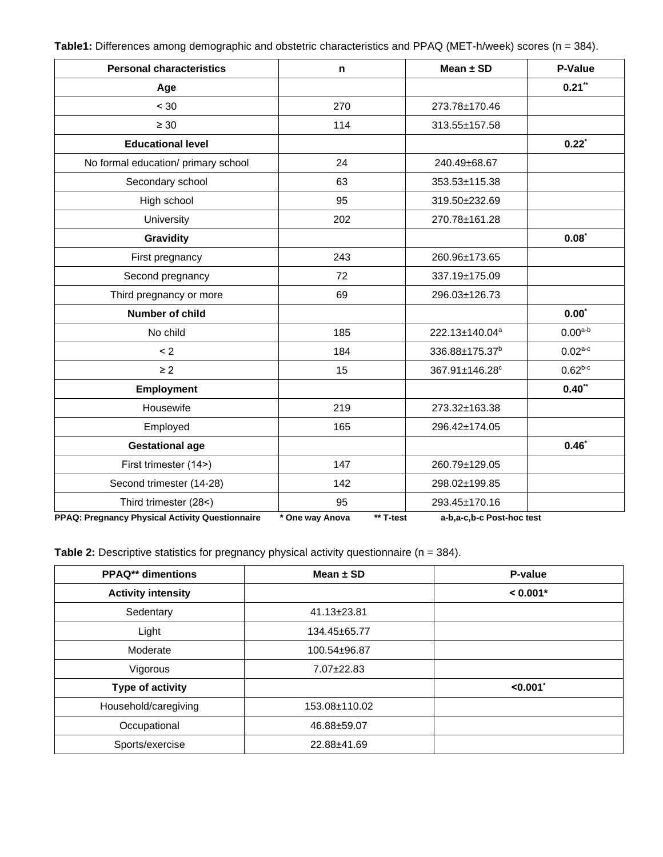**Table1:** Differences among demographic and obstetric characteristics and PPAQ (MET-h/week) scores (n = 384).

| <b>Personal characteristics</b>     | n   | Mean $\pm$ SD              | P-Value          |
|-------------------------------------|-----|----------------------------|------------------|
| Age                                 |     |                            | $0.21**$         |
| < 30                                | 270 | 273.78±170.46              |                  |
| $\geq 30$                           | 114 | 313.55±157.58              |                  |
| <b>Educational level</b>            |     |                            | 0.22             |
| No formal education/ primary school | 24  | 240.49±68.67               |                  |
| Secondary school                    | 63  | 353.53±115.38              |                  |
| High school                         | 95  | 319.50±232.69              |                  |
| University                          | 202 | 270.78±161.28              |                  |
| <b>Gravidity</b>                    |     |                            | $0.08^*$         |
| First pregnancy                     | 243 | 260.96±173.65              |                  |
| Second pregnancy                    | 72  | 337.19±175.09              |                  |
| Third pregnancy or more             | 69  | 296.03±126.73              |                  |
| Number of child                     |     |                            | $0.00^{\dagger}$ |
| No child                            | 185 | 222.13±140.04 <sup>a</sup> | $0.00^{a-b}$     |
| < 2                                 | 184 | 336.88±175.37 <sup>b</sup> | $0.02^{a-c}$     |
| $\geq$ 2                            | 15  | 367.91±146.28°             | $0.62^{b-c}$     |
| <b>Employment</b>                   |     |                            | $0.40**$         |
| Housewife                           | 219 | 273.32±163.38              |                  |
| Employed                            | 165 | 296.42±174.05              |                  |
| <b>Gestational age</b>              |     |                            | 0.46             |
| First trimester (14>)               | 147 | 260.79±129.05              |                  |
| Second trimester (14-28)            | 142 | 298.02±199.85              |                  |
| Third trimester (28<)               | 95  | 293.45±170.16              |                  |

**PPAQ: Pregnancy Physical Activity Questionnaire \* One way Anova \*\* T-test a-b,a-c,b-c Post-hoc test**

**Table 2:** Descriptive statistics for pregnancy physical activity questionnaire (n = 384).

| <b>PPAQ**</b> dimentions  | Mean $\pm$ SD     | P-value    |
|---------------------------|-------------------|------------|
| <b>Activity intensity</b> |                   | $< 0.001*$ |
| Sedentary                 | $41.13 \pm 23.81$ |            |
| Light                     | 134.45±65.77      |            |
| Moderate                  | 100.54±96.87      |            |
| Vigorous                  | 7.07±22.83        |            |
| Type of activity          |                   | < 0.001    |
| Household/caregiving      | 153.08±110.02     |            |
| Occupational              | 46.88±59.07       |            |
| Sports/exercise           | 22.88±41.69       |            |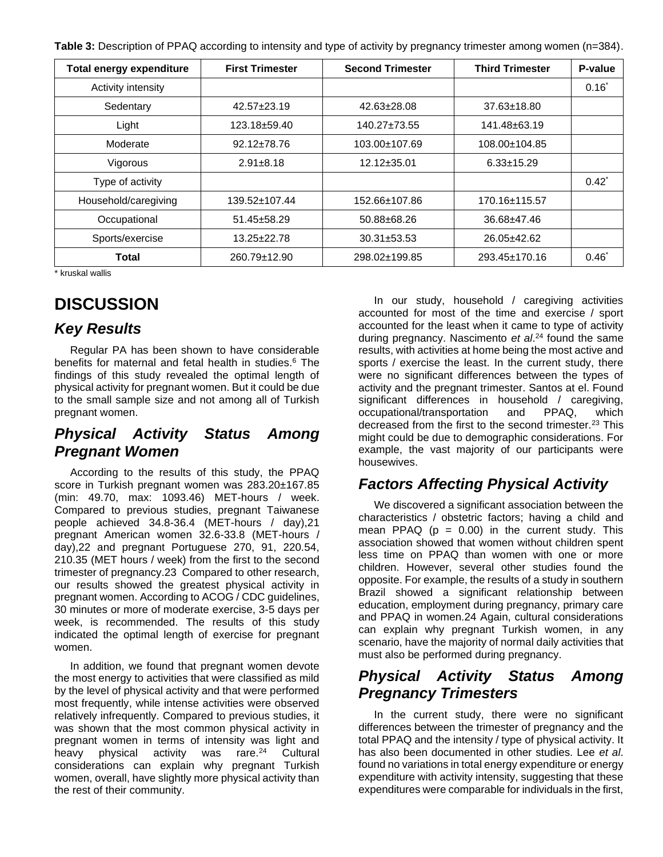**Table 3:** Description of PPAQ according to intensity and type of activity by pregnancy trimester among women (n=384).

| <b>Total energy expenditure</b> | <b>First Trimester</b> | <b>Second Trimester</b> | <b>Third Trimester</b> | P-value  |
|---------------------------------|------------------------|-------------------------|------------------------|----------|
| Activity intensity              |                        |                         |                        | $0.16^*$ |
| Sedentary                       | $42.57 + 23.19$        | $42.63 \pm 28.08$       | $37.63 \pm 18.80$      |          |
| Light                           | $123.18 + 59.40$       | $140.27 \pm 73.55$      | $141.48 \pm 63.19$     |          |
| Moderate                        | $92.12 \pm 78.76$      | 103.00±107.69           | 108.00±104.85          |          |
| Vigorous                        | $2.91 + 8.18$          | $12.12 \pm 35.01$       | $6.33 \pm 15.29$       |          |
| Type of activity                |                        |                         |                        | $0.42^*$ |
| Household/caregiving            | $139.52 \pm 107.44$    | 152.66±107.86           | 170.16±115.57          |          |
| Occupational                    | $51.45 \pm 58.29$      | $50.88 + 68.26$         | $36.68 + 47.46$        |          |
| Sports/exercise                 | $13.25 + 22.78$        | $30.31 + 53.53$         | 26.05±42.62            |          |
| Total                           | 260.79±12.90           | 298.02±199.85           | 293.45±170.16          | $0.46^*$ |

\* kruskal wallis

# **DISCUSSION**

### *Key Results*

Regular PA has been shown to have considerable benefits for maternal and fetal health in studies.<sup>6</sup> The findings of this study revealed the optimal length of physical activity for pregnant women. But it could be due to the small sample size and not among all of Turkish pregnant women.

### *Physical Activity Status Among Pregnant Women*

According to the results of this study, the PPAQ score in Turkish pregnant women was 283.20±167.85 (min: 49.70, max: 1093.46) MET-hours / week. Compared to previous studies, pregnant Taiwanese people achieved 34.8-36.4 (MET-hours / day),21 pregnant American women 32.6-33.8 (MET-hours / day),22 and pregnant Portuguese 270, 91, 220.54, 210.35 (MET hours / week) from the first to the second trimester of pregnancy.23 Compared to other research, our results showed the greatest physical activity in pregnant women. According to ACOG / CDC guidelines, 30 minutes or more of moderate exercise, 3-5 days per week, is recommended. The results of this study indicated the optimal length of exercise for pregnant women.

In addition, we found that pregnant women devote the most energy to activities that were classified as mild by the level of physical activity and that were performed most frequently, while intense activities were observed relatively infrequently. Compared to previous studies, it was shown that the most common physical activity in pregnant women in terms of intensity was light and heavy physical activity was rare.<sup>24</sup> Cultural considerations can explain why pregnant Turkish women, overall, have slightly more physical activity than the rest of their community.

In our study, household / caregiving activities accounted for most of the time and exercise / sport accounted for the least when it came to type of activity during pregnancy. Nascimento *et al*. <sup>24</sup> found the same results, with activities at home being the most active and sports / exercise the least. In the current study, there were no significant differences between the types of activity and the pregnant trimester. Santos at el. Found significant differences in household / caregiving, occupational/transportation and PPAQ, which decreased from the first to the second trimester.<sup>23</sup> This might could be due to demographic considerations. For example, the vast majority of our participants were housewives.

### *Factors Affecting Physical Activity*

We discovered a significant association between the characteristics / obstetric factors; having a child and mean PPAQ  $(p = 0.00)$  in the current study. This association showed that women without children spent less time on PPAQ than women with one or more children. However, several other studies found the opposite. For example, the results of a study in southern Brazil showed a significant relationship between education, employment during pregnancy, primary care and PPAQ in women.24 Again, cultural considerations can explain why pregnant Turkish women, in any scenario, have the majority of normal daily activities that must also be performed during pregnancy.

### *Physical Activity Status Among Pregnancy Trimesters*

In the current study, there were no significant differences between the trimester of pregnancy and the total PPAQ and the intensity / type of physical activity. It has also been documented in other studies. Lee *et al*. found no variations in total energy expenditure or energy expenditure with activity intensity, suggesting that these expenditures were comparable for individuals in the first,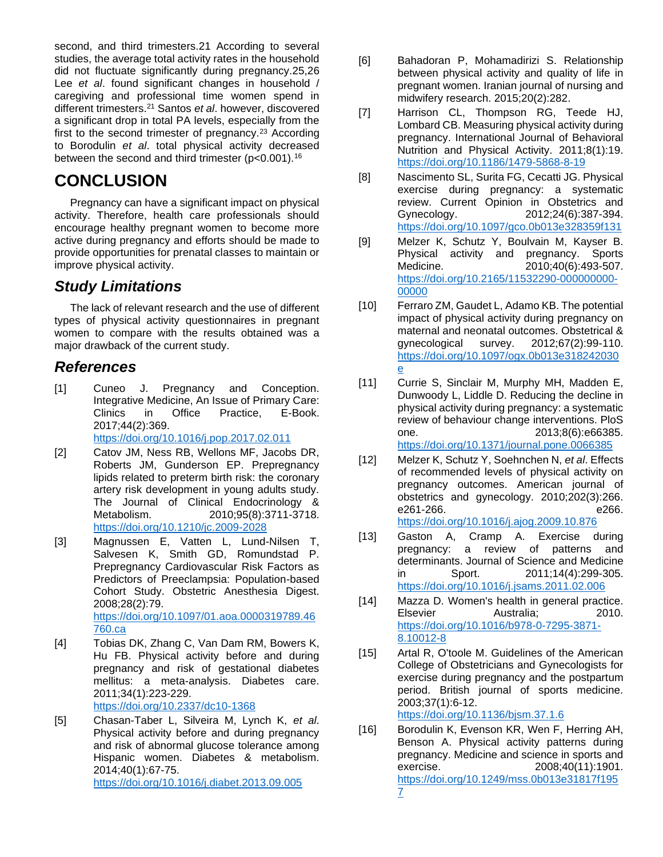second, and third trimesters.21 According to several studies, the average total activity rates in the household did not fluctuate significantly during pregnancy.25,26 Lee *et al*. found significant changes in household / caregiving and professional time women spend in different trimesters.<sup>21</sup> Santos *et al*. however, discovered a significant drop in total PA levels, especially from the first to the second trimester of pregnancy.<sup>23</sup> According to Borodulin *et al*. total physical activity decreased between the second and third trimester (p<0.001).<sup>16</sup>

## **CONCLUSION**

Pregnancy can have a significant impact on physical activity. Therefore, health care professionals should encourage healthy pregnant women to become more active during pregnancy and efforts should be made to provide opportunities for prenatal classes to maintain or improve physical activity.

### *Study Limitations*

The lack of relevant research and the use of different types of physical activity questionnaires in pregnant women to compare with the results obtained was a major drawback of the current study.

#### *References*

- [1] Cuneo J. Pregnancy and Conception. Integrative Medicine, An Issue of Primary Care: Clinics in Office Practice, E-Book. 2017;44(2):369. <https://doi.org/10.1016/j.pop.2017.02.011>
- [2] Catov JM, Ness RB, Wellons MF, Jacobs DR, Roberts JM, Gunderson EP. Prepregnancy lipids related to preterm birth risk: the coronary artery risk development in young adults study. The Journal of Clinical Endocrinology & Metabolism. 2010;95(8):3711-3718. <https://doi.org/10.1210/jc.2009-2028>
- [3] Magnussen E, Vatten L, Lund-Nilsen T, Salvesen K, Smith GD, Romundstad P. Prepregnancy Cardiovascular Risk Factors as Predictors of Preeclampsia: Population-based Cohort Study. Obstetric Anesthesia Digest. 2008;28(2):79. [https://doi.org/10.1097/01.aoa.0000319789.46](https://doi.org/10.1097/01.aoa.0000319789.46760.ca) [760.ca](https://doi.org/10.1097/01.aoa.0000319789.46760.ca)
- [4] Tobias DK, Zhang C, Van Dam RM, Bowers K, Hu FB. Physical activity before and during pregnancy and risk of gestational diabetes mellitus: a meta-analysis. Diabetes care. 2011;34(1):223-229.

<https://doi.org/10.2337/dc10-1368>

[5] Chasan-Taber L, Silveira M, Lynch K, *et al*. Physical activity before and during pregnancy and risk of abnormal glucose tolerance among Hispanic women. Diabetes & metabolism. 2014;40(1):67-75. <https://doi.org/10.1016/j.diabet.2013.09.005>

- [6] Bahadoran P, Mohamadirizi S. Relationship between physical activity and quality of life in pregnant women. Iranian journal of nursing and midwifery research. 2015;20(2):282.
- [7] Harrison CL, Thompson RG, Teede HJ, Lombard CB. Measuring physical activity during pregnancy. International Journal of Behavioral Nutrition and Physical Activity. 2011;8(1):19. <https://doi.org/10.1186/1479-5868-8-19>
- [8] Nascimento SL, Surita FG, Cecatti JG. Physical exercise during pregnancy: a systematic review. Current Opinion in Obstetrics and Gynecology. 2012;24(6):387-394. <https://doi.org/10.1097/gco.0b013e328359f131>
- [9] Melzer K, Schutz Y, Boulvain M, Kayser B. Physical activity and pregnancy. Sports Medicine. 2010;40(6):493-507. [https://doi.org/10.2165/11532290-000000000-](https://doi.org/10.2165/11532290-000000000-00000) [00000](https://doi.org/10.2165/11532290-000000000-00000)
- [10] Ferraro ZM, Gaudet L, Adamo KB. The potential impact of physical activity during pregnancy on maternal and neonatal outcomes. Obstetrical & gynecological survey. 2012;67(2):99-110. [https://doi.org/10.1097/ogx.0b013e318242030](https://doi.org/10.1097/ogx.0b013e318242030e) [e](https://doi.org/10.1097/ogx.0b013e318242030e)
- [11] Currie S, Sinclair M, Murphy MH, Madden E, Dunwoody L, Liddle D. Reducing the decline in physical activity during pregnancy: a systematic review of behaviour change interventions. PloS one. 2013;8(6):e66385. <https://doi.org/10.1371/journal.pone.0066385>
- [12] Melzer K, Schutz Y, Soehnchen N, *et al*. Effects of recommended levels of physical activity on pregnancy outcomes. American journal of obstetrics and gynecology. 2010;202(3):266. e261-266. e266. <https://doi.org/10.1016/j.ajog.2009.10.876>
- [13] Gaston A, Cramp A. Exercise during pregnancy: a review of patterns and determinants. Journal of Science and Medicine in Sport. 2011;14(4):299-305. <https://doi.org/10.1016/j.jsams.2011.02.006>
- [14] Mazza D. Women's health in general practice. Elsevier Australia; 2010. [https://doi.org/10.1016/b978-0-7295-3871-](https://doi.org/10.1016/b978-0-7295-3871-8.10012-8) [8.10012-8](https://doi.org/10.1016/b978-0-7295-3871-8.10012-8)
- [15] Artal R, O'toole M. Guidelines of the American College of Obstetricians and Gynecologists for exercise during pregnancy and the postpartum period. British journal of sports medicine. 2003;37(1):6-12.

<https://doi.org/10.1136/bjsm.37.1.6>

[16] Borodulin K, Evenson KR, Wen F, Herring AH, Benson A. Physical activity patterns during pregnancy. Medicine and science in sports and exercise. 2008;40(11):1901. [https://doi.org/10.1249/mss.0b013e31817f195](https://doi.org/10.1249/mss.0b013e31817f1957) [7](https://doi.org/10.1249/mss.0b013e31817f1957)